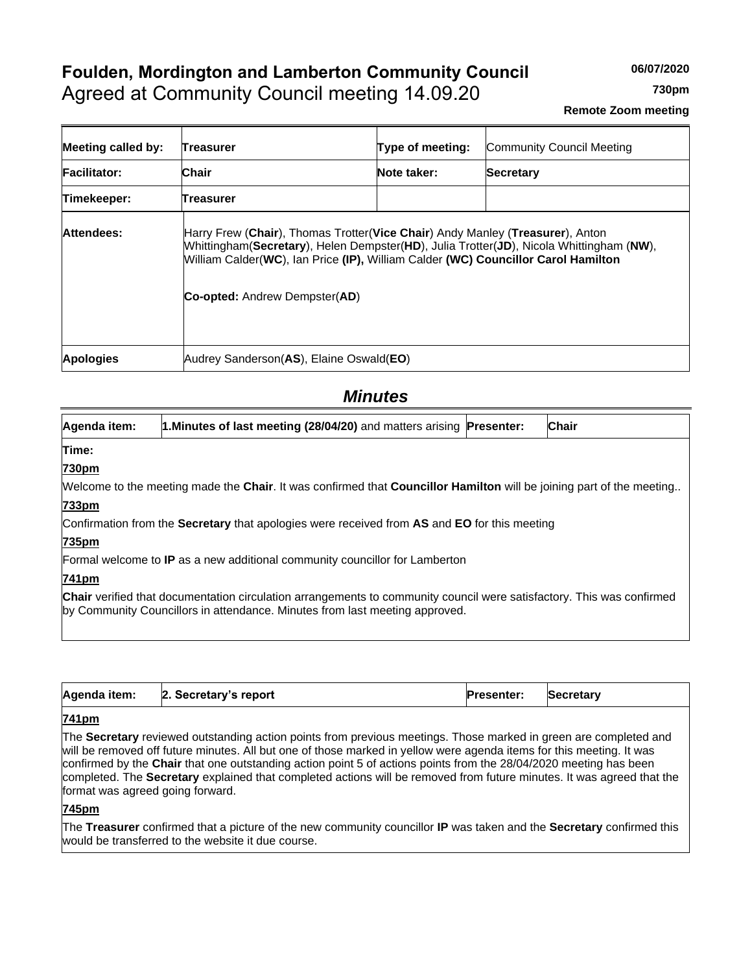# **Foulden, Mordington and Lamberton Community Council** Agreed at Community Council meeting 14.09.20

**730pm**

| Meeting called by:  | Treasurer                               | Type of meeting:                                                                                                                                                                                                                                              | Community Council Meeting |  |  |
|---------------------|-----------------------------------------|---------------------------------------------------------------------------------------------------------------------------------------------------------------------------------------------------------------------------------------------------------------|---------------------------|--|--|
| <b>Facilitator:</b> | Chair                                   | Note taker:<br><b>Secretary</b>                                                                                                                                                                                                                               |                           |  |  |
| Timekeeper:         | Treasurer                               |                                                                                                                                                                                                                                                               |                           |  |  |
| Attendees:          | <b>Co-opted:</b> Andrew Dempster(AD)    | Harry Frew (Chair), Thomas Trotter(Vice Chair) Andy Manley (Treasurer), Anton<br>Whittingham(Secretary), Helen Dempster(HD), Julia Trotter(JD), Nicola Whittingham (NW),<br>William Calder(WC), Ian Price (IP), William Calder (WC) Councillor Carol Hamilton |                           |  |  |
| <b>Apologies</b>    | Audrey Sanderson(AS), Elaine Oswald(EO) |                                                                                                                                                                                                                                                               |                           |  |  |

## *Minutes*

| Agenda item:                                                                       | 1. Minutes of last meeting (28/04/20) and matters arising Presenter:                                                                                                                                        |  | <b>Chair</b> |  |  |
|------------------------------------------------------------------------------------|-------------------------------------------------------------------------------------------------------------------------------------------------------------------------------------------------------------|--|--------------|--|--|
| Time:                                                                              |                                                                                                                                                                                                             |  |              |  |  |
| 730pm                                                                              |                                                                                                                                                                                                             |  |              |  |  |
|                                                                                    | Welcome to the meeting made the Chair. It was confirmed that Councillor Hamilton will be joining part of the meeting                                                                                        |  |              |  |  |
| 733pm                                                                              |                                                                                                                                                                                                             |  |              |  |  |
|                                                                                    | Confirmation from the Secretary that apologies were received from AS and EO for this meeting                                                                                                                |  |              |  |  |
| 735pm                                                                              |                                                                                                                                                                                                             |  |              |  |  |
| Formal welcome to <b>IP</b> as a new additional community councillor for Lamberton |                                                                                                                                                                                                             |  |              |  |  |
| 741pm                                                                              |                                                                                                                                                                                                             |  |              |  |  |
|                                                                                    | <b>Chair</b> verified that documentation circulation arrangements to community council were satisfactory. This was confirmed<br>by Community Councillors in attendance. Minutes from last meeting approved. |  |              |  |  |

| Agenda item:<br>2. Secretary's report | <b>Presenter:</b> | <b>Secretary</b> |
|---------------------------------------|-------------------|------------------|
|---------------------------------------|-------------------|------------------|

## **741pm**

The **Secretary** reviewed outstanding action points from previous meetings. Those marked in green are completed and will be removed off future minutes. All but one of those marked in yellow were agenda items for this meeting. It was confirmed by the **Chair** that one outstanding action point 5 of actions points from the 28/04/2020 meeting has been completed. The **Secretary** explained that completed actions will be removed from future minutes. It was agreed that the format was agreed going forward.

## **745pm**

The **Treasurer** confirmed that a picture of the new community councillor **IP** was taken and the **Secretary** confirmed this would be transferred to the website it due course.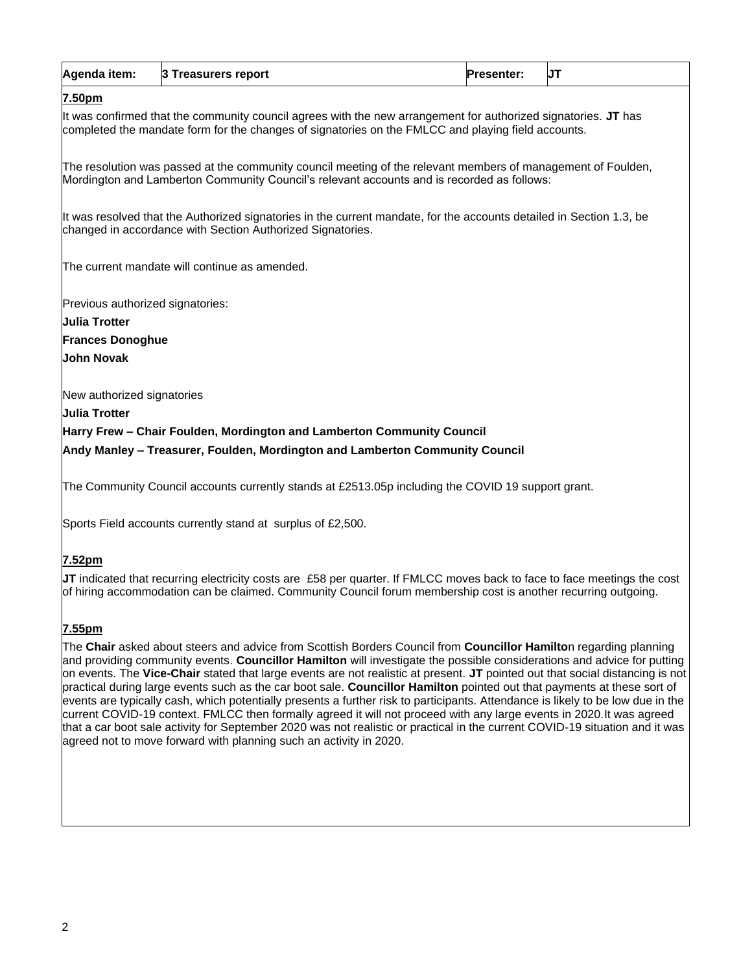## **7.50pm**

It was confirmed that the community council agrees with the new arrangement for authorized signatories. **JT** has completed the mandate form for the changes of signatories on the FMLCC and playing field accounts.

The resolution was passed at the community council meeting of the relevant members of management of Foulden, Mordington and Lamberton Community Council's relevant accounts and is recorded as follows:

It was resolved that the Authorized signatories in the current mandate, for the accounts detailed in Section 1.3, be changed in accordance with Section Authorized Signatories.

The current mandate will continue as amended.

Previous authorized signatories:

**Julia Trotter Frances Donoghue John Novak**

New authorized signatories

**Julia Trotter**

**Harry Frew – Chair Foulden, Mordington and Lamberton Community Council**

**Andy Manley – Treasurer, Foulden, Mordington and Lamberton Community Council**

The Community Council accounts currently stands at £2513.05p including the COVID 19 support grant.

Sports Field accounts currently stand at surplus of £2,500.

## **7.52pm**

**JT** indicated that recurring electricity costs are £58 per quarter. If FMLCC moves back to face to face meetings the cost of hiring accommodation can be claimed. Community Council forum membership cost is another recurring outgoing.

## **7.55pm**

The **Chair** asked about steers and advice from Scottish Borders Council from **Councillor Hamilto**n regarding planning and providing community events. **Councillor Hamilton** will investigate the possible considerations and advice for putting on events. The **Vice-Chair** stated that large events are not realistic at present. **JT** pointed out that social distancing is not practical during large events such as the car boot sale. **Councillor Hamilton** pointed out that payments at these sort of events are typically cash, which potentially presents a further risk to participants. Attendance is likely to be low due in the current COVID-19 context. FMLCC then formally agreed it will not proceed with any large events in 2020.It was agreed that a car boot sale activity for September 2020 was not realistic or practical in the current COVID-19 situation and it was agreed not to move forward with planning such an activity in 2020.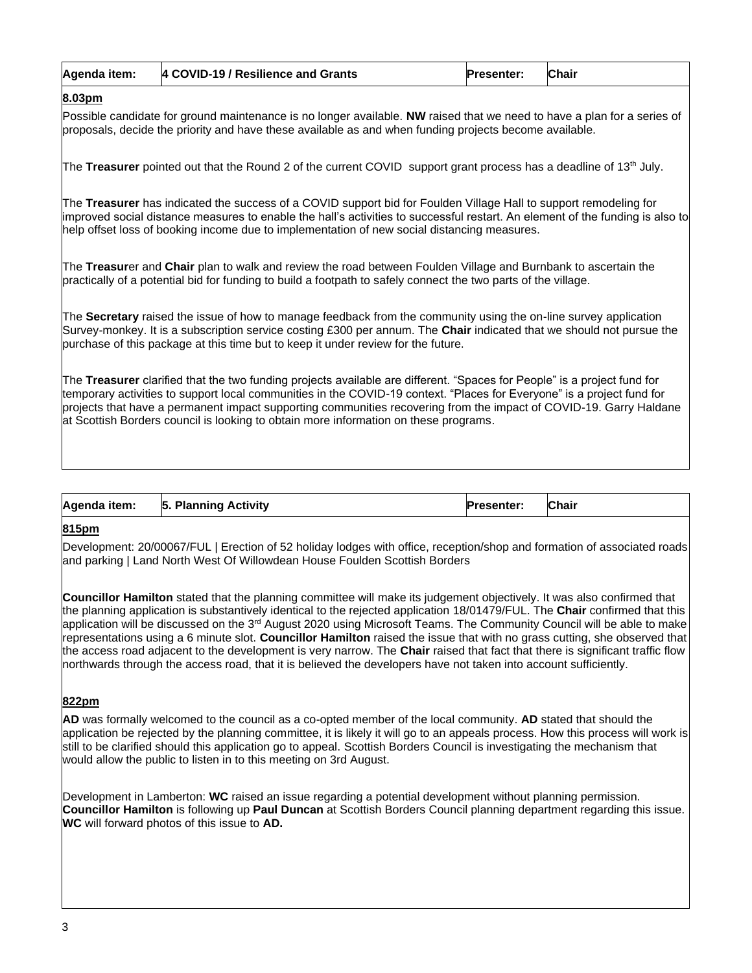| Agenda item: | 4 COVID-19 / Resilience and Grants | <b>Presenter:</b> | <b>Chair</b> |
|--------------|------------------------------------|-------------------|--------------|
|--------------|------------------------------------|-------------------|--------------|

## **8.03pm**

Possible candidate for ground maintenance is no longer available. **NW** raised that we need to have a plan for a series of proposals, decide the priority and have these available as and when funding projects become available.

The **Treasurer** pointed out that the Round 2 of the current COVID support grant process has a deadline of 13th July.

The **Treasurer** has indicated the success of a COVID support bid for Foulden Village Hall to support remodeling for improved social distance measures to enable the hall's activities to successful restart. An element of the funding is also to help offset loss of booking income due to implementation of new social distancing measures.

The **Treasur**er and **Chair** plan to walk and review the road between Foulden Village and Burnbank to ascertain the practically of a potential bid for funding to build a footpath to safely connect the two parts of the village.

The **Secretary** raised the issue of how to manage feedback from the community using the on-line survey application Survey-monkey. It is a subscription service costing £300 per annum. The **Chair** indicated that we should not pursue the purchase of this package at this time but to keep it under review for the future.

The **Treasurer** clarified that the two funding projects available are different. "Spaces for People" is a project fund for temporary activities to support local communities in the COVID-19 context. "Places for Everyone" is a project fund for projects that have a permanent impact supporting communities recovering from the impact of COVID-19. Garry Haldane at Scottish Borders council is looking to obtain more information on these programs.

| <b>Chair</b><br>Agenda item:<br><b>Planning Activity</b><br>15.<br><b>Presenter:</b><br>____ |
|----------------------------------------------------------------------------------------------|
|----------------------------------------------------------------------------------------------|

#### **815pm**

Development: 20/00067/FUL | Erection of 52 holiday lodges with office, reception/shop and formation of associated roads and parking | Land North West Of Willowdean House Foulden Scottish Borders

**Councillor Hamilton** stated that the planning committee will make its judgement objectively. It was also confirmed that the planning application is substantively identical to the rejected application 18/01479/FUL. The **Chair** confirmed that this application will be discussed on the 3<sup>rd</sup> August 2020 using Microsoft Teams. The Community Council will be able to make representations using a 6 minute slot. **Councillor Hamilton** raised the issue that with no grass cutting, she observed that the access road adjacent to the development is very narrow. The **Chair** raised that fact that there is significant traffic flow northwards through the access road, that it is believed the developers have not taken into account sufficiently.

#### **822pm**

**AD** was formally welcomed to the council as a co-opted member of the local community. **AD** stated that should the application be rejected by the planning committee, it is likely it will go to an appeals process. How this process will work is still to be clarified should this application go to appeal. Scottish Borders Council is investigating the mechanism that would allow the public to listen in to this meeting on 3rd August.

Development in Lamberton: **WC** raised an issue regarding a potential development without planning permission. **Councillor Hamilton** is following up **Paul Duncan** at Scottish Borders Council planning department regarding this issue. **WC** will forward photos of this issue to **AD.**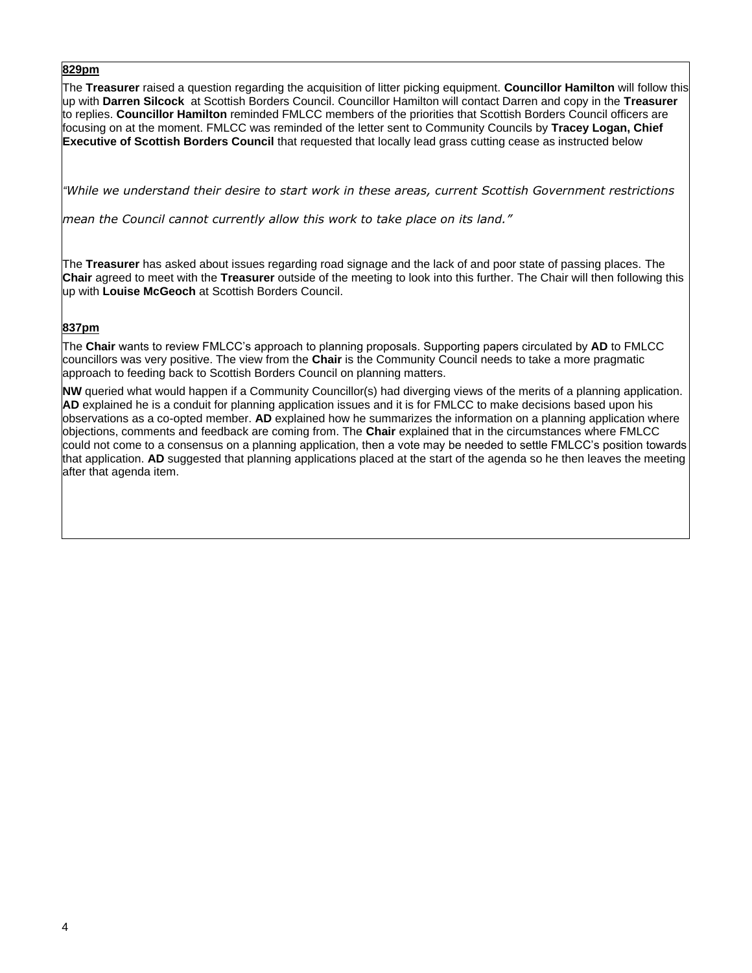The **Treasurer** raised a question regarding the acquisition of litter picking equipment. **Councillor Hamilton** will follow this up with **Darren Silcock** at Scottish Borders Council. Councillor Hamilton will contact Darren and copy in the **Treasurer** to replies. **Councillor Hamilton** reminded FMLCC members of the priorities that Scottish Borders Council officers are focusing on at the moment. FMLCC was reminded of the letter sent to Community Councils by **Tracey Logan, Chief Executive of Scottish Borders Council** that requested that locally lead grass cutting cease as instructed below

*"While we understand their desire to start work in these areas, current Scottish Government restrictions* 

*mean the Council cannot currently allow this work to take place on its land."*

The **Treasurer** has asked about issues regarding road signage and the lack of and poor state of passing places. The **Chair** agreed to meet with the **Treasurer** outside of the meeting to look into this further. The Chair will then following this up with **Louise McGeoch** at Scottish Borders Council.

#### **837pm**

The **Chair** wants to review FMLCC's approach to planning proposals. Supporting papers circulated by **AD** to FMLCC councillors was very positive. The view from the **Chair** is the Community Council needs to take a more pragmatic approach to feeding back to Scottish Borders Council on planning matters.

**NW** queried what would happen if a Community Councillor(s) had diverging views of the merits of a planning application. **AD** explained he is a conduit for planning application issues and it is for FMLCC to make decisions based upon his observations as a co-opted member. **AD** explained how he summarizes the information on a planning application where objections, comments and feedback are coming from. The **Chair** explained that in the circumstances where FMLCC could not come to a consensus on a planning application, then a vote may be needed to settle FMLCC's position towards that application. **AD** suggested that planning applications placed at the start of the agenda so he then leaves the meeting after that agenda item.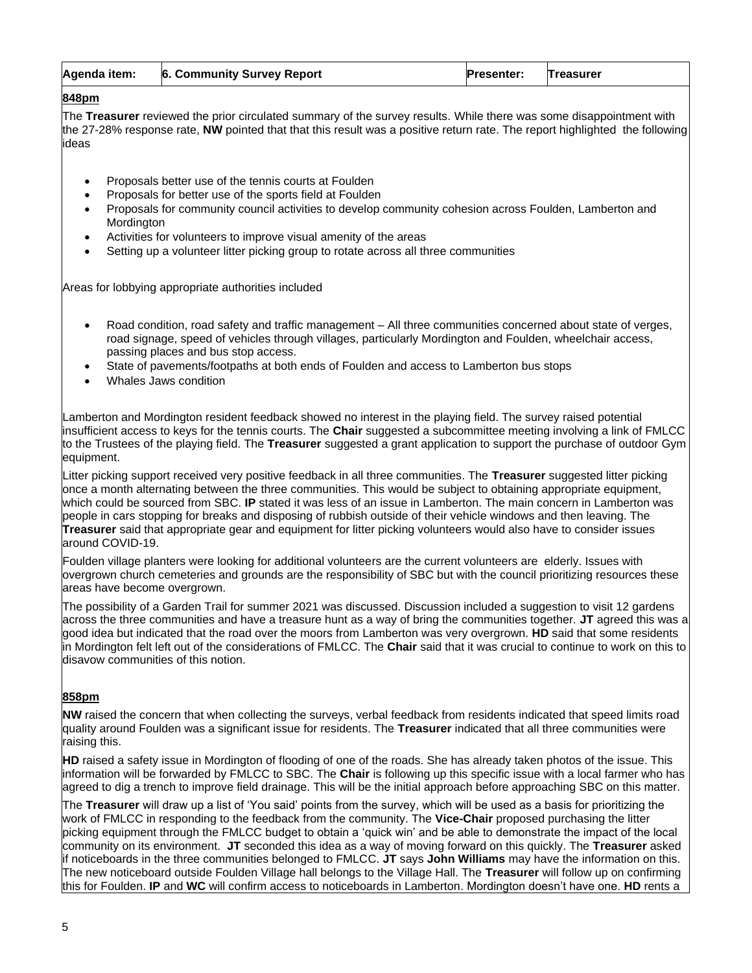| Agenda item: | <b>6. Community Survey Report</b> | <b>Presenter:</b> | <b>Treasurer</b> |
|--------------|-----------------------------------|-------------------|------------------|
|--------------|-----------------------------------|-------------------|------------------|

The **Treasurer** reviewed the prior circulated summary of the survey results. While there was some disappointment with the 27-28% response rate, **NW** pointed that that this result was a positive return rate. The report highlighted the following ideas

- Proposals better use of the tennis courts at Foulden
- Proposals for better use of the sports field at Foulden
- Proposals for community council activities to develop community cohesion across Foulden, Lamberton and **Mordington**
- Activities for volunteers to improve visual amenity of the areas
- Setting up a volunteer litter picking group to rotate across all three communities

Areas for lobbying appropriate authorities included

- Road condition, road safety and traffic management All three communities concerned about state of verges, road signage, speed of vehicles through villages, particularly Mordington and Foulden, wheelchair access, passing places and bus stop access.
- State of pavements/footpaths at both ends of Foulden and access to Lamberton bus stops
- Whales Jaws condition

Lamberton and Mordington resident feedback showed no interest in the playing field. The survey raised potential insufficient access to keys for the tennis courts. The **Chair** suggested a subcommittee meeting involving a link of FMLCC to the Trustees of the playing field. The **Treasurer** suggested a grant application to support the purchase of outdoor Gym equipment.

Litter picking support received very positive feedback in all three communities. The **Treasurer** suggested litter picking once a month alternating between the three communities. This would be subject to obtaining appropriate equipment, which could be sourced from SBC. **IP** stated it was less of an issue in Lamberton. The main concern in Lamberton was people in cars stopping for breaks and disposing of rubbish outside of their vehicle windows and then leaving. The **Treasurer** said that appropriate gear and equipment for litter picking volunteers would also have to consider issues around COVID-19.

Foulden village planters were looking for additional volunteers are the current volunteers are elderly. Issues with overgrown church cemeteries and grounds are the responsibility of SBC but with the council prioritizing resources these areas have become overgrown.

The possibility of a Garden Trail for summer 2021 was discussed. Discussion included a suggestion to visit 12 gardens across the three communities and have a treasure hunt as a way of bring the communities together. **JT** agreed this was a good idea but indicated that the road over the moors from Lamberton was very overgrown. **HD** said that some residents in Mordington felt left out of the considerations of FMLCC. The **Chair** said that it was crucial to continue to work on this to disavow communities of this notion.

#### **858pm**

**NW** raised the concern that when collecting the surveys, verbal feedback from residents indicated that speed limits road quality around Foulden was a significant issue for residents. The **Treasurer** indicated that all three communities were raising this.

**HD** raised a safety issue in Mordington of flooding of one of the roads. She has already taken photos of the issue. This information will be forwarded by FMLCC to SBC. The **Chair** is following up this specific issue with a local farmer who has agreed to dig a trench to improve field drainage. This will be the initial approach before approaching SBC on this matter.

The **Treasurer** will draw up a list of 'You said' points from the survey, which will be used as a basis for prioritizing the work of FMLCC in responding to the feedback from the community. The **Vice-Chair** proposed purchasing the litter picking equipment through the FMLCC budget to obtain a 'quick win' and be able to demonstrate the impact of the local community on its environment. **JT** seconded this idea as a way of moving forward on this quickly. The **Treasurer** asked if noticeboards in the three communities belonged to FMLCC. **JT** says **John Williams** may have the information on this. The new noticeboard outside Foulden Village hall belongs to the Village Hall. The **Treasurer** will follow up on confirming this for Foulden. **IP** and **WC** will confirm access to noticeboards in Lamberton. Mordington doesn't have one. **HD** rents a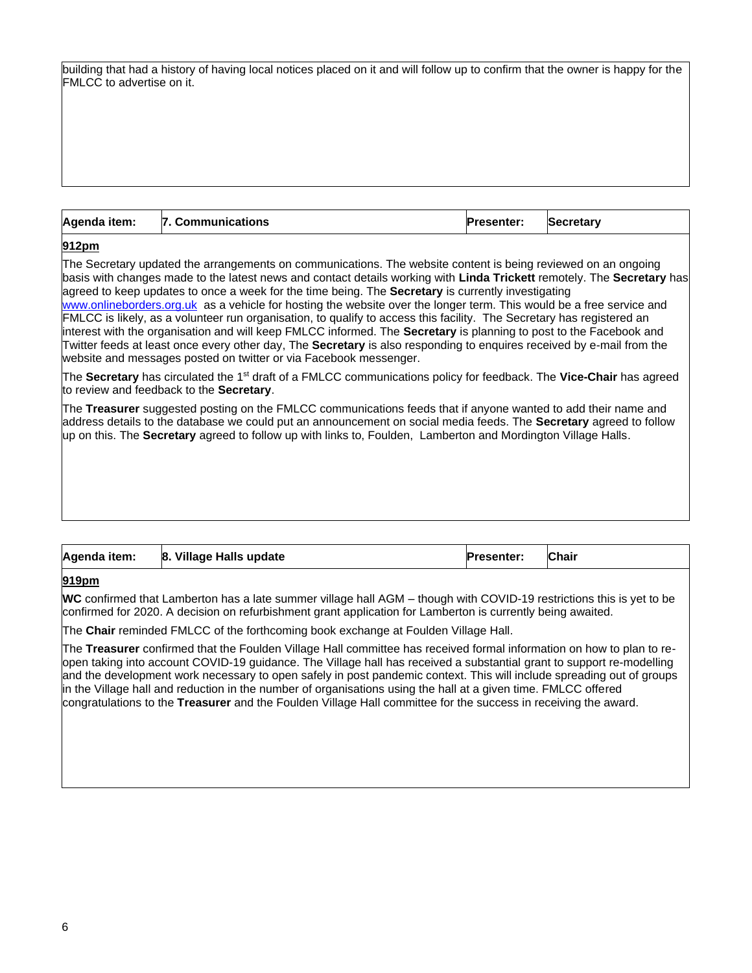| building that had a history of having local notices placed on it and will follow up to confirm that the owner is happy for the |  |  |  |  |
|--------------------------------------------------------------------------------------------------------------------------------|--|--|--|--|
| FMLCC to advertise on it.                                                                                                      |  |  |  |  |

| Agenda item: | 7. Communications | <b>Presenter:</b> | <b>Secretary</b> |
|--------------|-------------------|-------------------|------------------|
|              |                   |                   |                  |

The Secretary updated the arrangements on communications. The website content is being reviewed on an ongoing basis with changes made to the latest news and contact details working with **Linda Trickett** remotely. The **Secretary** has agreed to keep updates to once a week for the time being. The **Secretary** is currently investigating [www.onlineborders.org.uk](http://www.onlineborders.org.uk/) as a vehicle for hosting the website over the longer term. This would be a free service and FMLCC is likely, as a volunteer run organisation, to qualify to access this facility. The Secretary has registered an interest with the organisation and will keep FMLCC informed. The **Secretary** is planning to post to the Facebook and Twitter feeds at least once every other day, The **Secretary** is also responding to enquires received by e-mail from the website and messages posted on twitter or via Facebook messenger.

The **Secretary** has circulated the 1st draft of a FMLCC communications policy for feedback. The **Vice-Chair** has agreed to review and feedback to the **Secretary**.

The **Treasurer** suggested posting on the FMLCC communications feeds that if anyone wanted to add their name and address details to the database we could put an announcement on social media feeds. The **Secretary** agreed to follow up on this. The **Secretary** agreed to follow up with links to, Foulden, Lamberton and Mordington Village Halls.

| Agenda item: | 8. Village Halls update | <b>Presenter:</b> | Chair |
|--------------|-------------------------|-------------------|-------|

#### **919pm**

**WC** confirmed that Lamberton has a late summer village hall AGM – though with COVID-19 restrictions this is yet to be confirmed for 2020. A decision on refurbishment grant application for Lamberton is currently being awaited.

The **Chair** reminded FMLCC of the forthcoming book exchange at Foulden Village Hall.

The **Treasurer** confirmed that the Foulden Village Hall committee has received formal information on how to plan to reopen taking into account COVID-19 guidance. The Village hall has received a substantial grant to support re-modelling and the development work necessary to open safely in post pandemic context. This will include spreading out of groups in the Village hall and reduction in the number of organisations using the hall at a given time. FMLCC offered congratulations to the **Treasurer** and the Foulden Village Hall committee for the success in receiving the award.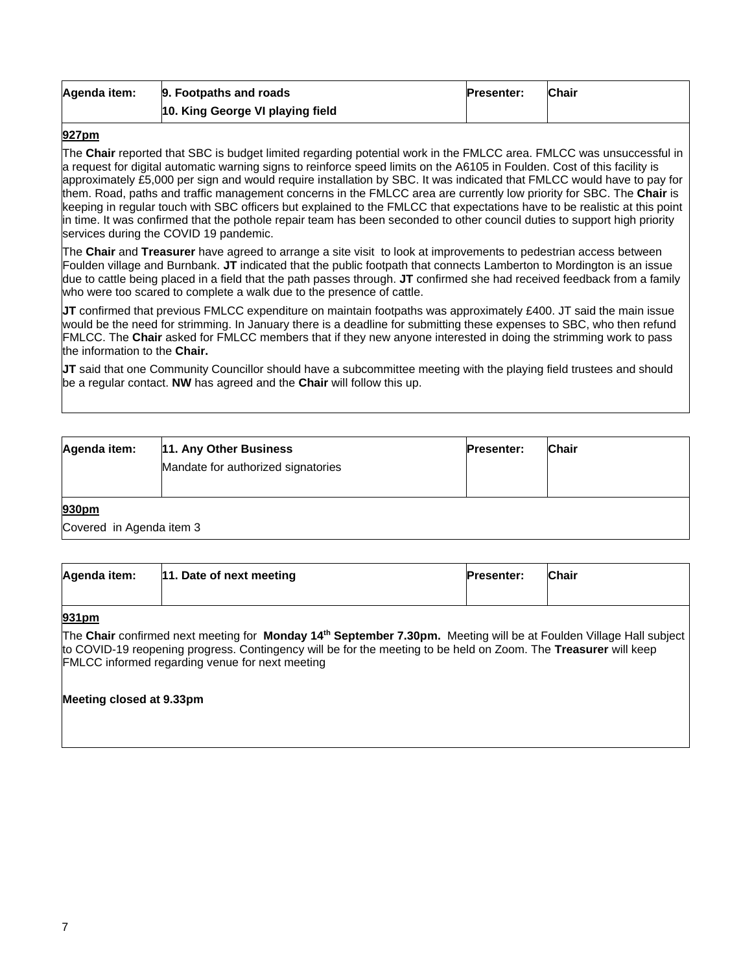| Agenda item: | 9. Footpaths and roads           | <b>Presenter:</b> | <b>Chair</b> |
|--------------|----------------------------------|-------------------|--------------|
|              | 10. King George VI playing field |                   |              |

The **Chair** reported that SBC is budget limited regarding potential work in the FMLCC area. FMLCC was unsuccessful in a request for digital automatic warning signs to reinforce speed limits on the A6105 in Foulden. Cost of this facility is approximately £5,000 per sign and would require installation by SBC. It was indicated that FMLCC would have to pay for them. Road, paths and traffic management concerns in the FMLCC area are currently low priority for SBC. The **Chair** is keeping in regular touch with SBC officers but explained to the FMLCC that expectations have to be realistic at this point in time. It was confirmed that the pothole repair team has been seconded to other council duties to support high priority services during the COVID 19 pandemic.

The **Chair** and **Treasurer** have agreed to arrange a site visit to look at improvements to pedestrian access between Foulden village and Burnbank. **JT** indicated that the public footpath that connects Lamberton to Mordington is an issue due to cattle being placed in a field that the path passes through. **JT** confirmed she had received feedback from a family who were too scared to complete a walk due to the presence of cattle.

**JT** confirmed that previous FMLCC expenditure on maintain footpaths was approximately £400. JT said the main issue would be the need for strimming. In January there is a deadline for submitting these expenses to SBC, who then refund FMLCC. The **Chair** asked for FMLCC members that if they new anyone interested in doing the strimming work to pass the information to the **Chair.** 

**JT** said that one Community Councillor should have a subcommittee meeting with the playing field trustees and should be a regular contact. **NW** has agreed and the **Chair** will follow this up.

| Agenda item:                      | 11. Any Other Business<br>Mandate for authorized signatories |  | <b>Presenter:</b> | <b>Chair</b> |  |  |
|-----------------------------------|--------------------------------------------------------------|--|-------------------|--------------|--|--|
| 930pm<br>Covered in Agenda item 3 |                                                              |  |                   |              |  |  |

| Agenda item: | 11. Date of next meeting | <b>Presenter:</b> | <b>Chair</b> |
|--------------|--------------------------|-------------------|--------------|
|              |                          |                   |              |

#### **931pm**

The **Chair** confirmed next meeting for **Monday 14th September 7.30pm.** Meeting will be at Foulden Village Hall subject to COVID-19 reopening progress. Contingency will be for the meeting to be held on Zoom. The **Treasurer** will keep FMLCC informed regarding venue for next meeting

#### **Meeting closed at 9.33pm**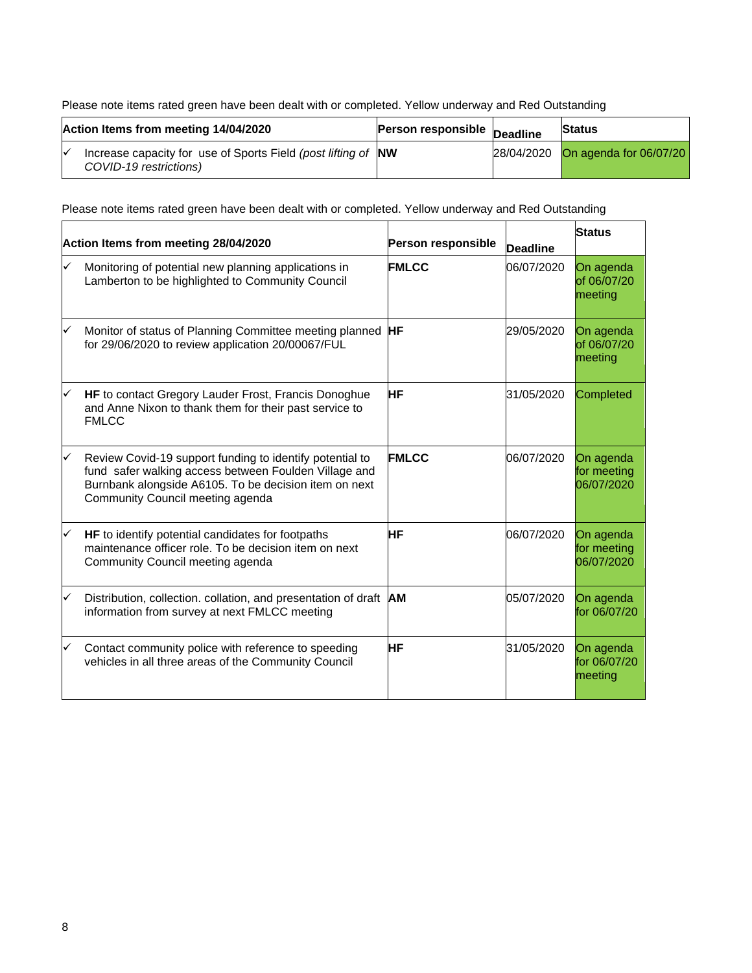Please note items rated green have been dealt with or completed. Yellow underway and Red Outstanding

| Action Items from meeting 14/04/2020 |                                                                                              | <b>Person responsible Deadline</b> | <b>Status</b>                     |
|--------------------------------------|----------------------------------------------------------------------------------------------|------------------------------------|-----------------------------------|
|                                      | Increase capacity for use of Sports Field (post lifting of NW<br>M<br>COVID-19 restrictions) |                                    | 28/04/2020 On agenda for 06/07/20 |

Please note items rated green have been dealt with or completed. Yellow underway and Red Outstanding

| Action Items from meeting 28/04/2020 |                                                                                                                                                                                                                | <b>Person responsible</b> | <b>Deadline</b> | <b>Status</b>                          |
|--------------------------------------|----------------------------------------------------------------------------------------------------------------------------------------------------------------------------------------------------------------|---------------------------|-----------------|----------------------------------------|
|                                      | Monitoring of potential new planning applications in<br>Lamberton to be highlighted to Community Council                                                                                                       | <b>FMLCC</b>              | 06/07/2020      | On agenda<br>of 06/07/20<br>meeting    |
| ✓                                    | Monitor of status of Planning Committee meeting planned <b>HF</b><br>for 29/06/2020 to review application 20/00067/FUL                                                                                         |                           | 29/05/2020      | On agenda<br>of 06/07/20<br>meeting    |
|                                      | HF to contact Gregory Lauder Frost, Francis Donoghue<br>and Anne Nixon to thank them for their past service to<br><b>FMLCC</b>                                                                                 | НF                        | 31/05/2020      | <b>Completed</b>                       |
|                                      | Review Covid-19 support funding to identify potential to<br>fund safer walking access between Foulden Village and<br>Burnbank alongside A6105. To be decision item on next<br>Community Council meeting agenda | <b>FMLCC</b>              | 06/07/2020      | On agenda<br>for meeting<br>06/07/2020 |
| ✓                                    | HF to identify potential candidates for footpaths<br>maintenance officer role. To be decision item on next<br>Community Council meeting agenda                                                                 | ΗF                        | 06/07/2020      | On agenda<br>for meeting<br>06/07/2020 |
| ✓                                    | Distribution, collection. collation, and presentation of draft<br>information from survey at next FMLCC meeting                                                                                                | <b>AM</b>                 | 05/07/2020      | On agenda<br>for 06/07/20              |
|                                      | Contact community police with reference to speeding<br>vehicles in all three areas of the Community Council                                                                                                    | НF                        | 31/05/2020      | On agenda<br>for 06/07/20<br>meeting   |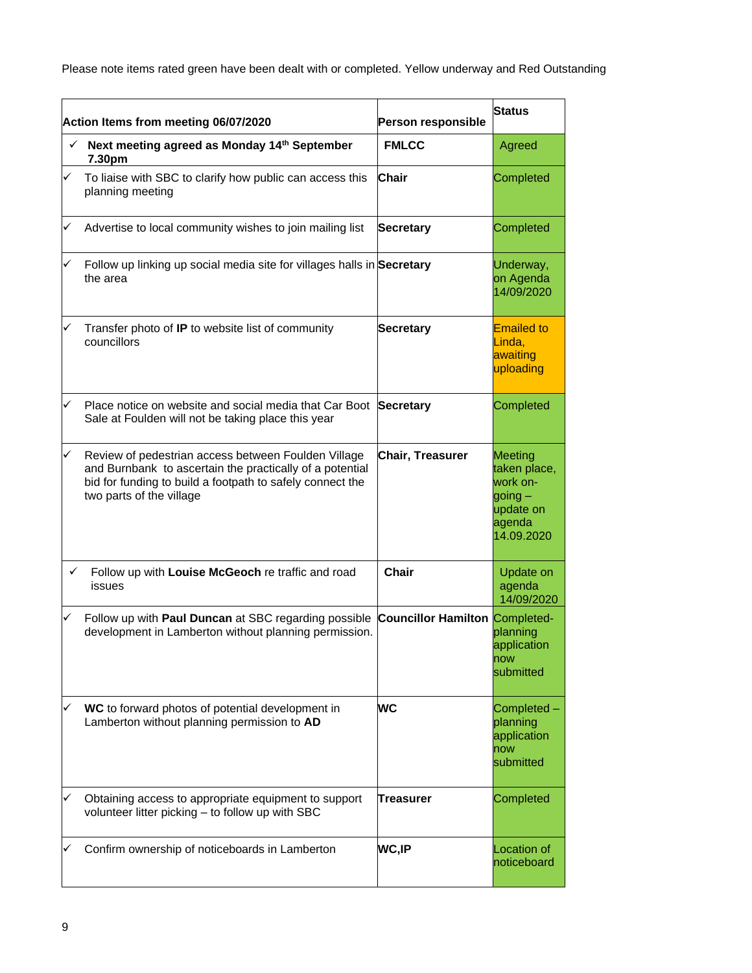Please note items rated green have been dealt with or completed. Yellow underway and Red Outstanding

|   | Action Items from meeting 06/07/2020                                                                                                                                                                     | Person responsible         | <b>Status</b>                                                                         |
|---|----------------------------------------------------------------------------------------------------------------------------------------------------------------------------------------------------------|----------------------------|---------------------------------------------------------------------------------------|
| ✓ | Next meeting agreed as Monday 14th September<br>7.30pm                                                                                                                                                   | <b>FMLCC</b>               | Agreed                                                                                |
|   | To liaise with SBC to clarify how public can access this<br>planning meeting                                                                                                                             | Chair                      | Completed                                                                             |
|   | Advertise to local community wishes to join mailing list                                                                                                                                                 | <b>Secretary</b>           | Completed                                                                             |
|   | Follow up linking up social media site for villages halls in Secretary<br>the area                                                                                                                       |                            | Underway,<br>on Agenda<br>14/09/2020                                                  |
|   | Transfer photo of IP to website list of community<br>councillors                                                                                                                                         | <b>Secretary</b>           | <b>Emailed to</b><br>Linda,<br>awaiting<br>uploading                                  |
|   | Place notice on website and social media that Car Boot Secretary<br>Sale at Foulden will not be taking place this year                                                                                   |                            | Completed                                                                             |
|   | Review of pedestrian access between Foulden Village<br>and Burnbank to ascertain the practically of a potential<br>bid for funding to build a footpath to safely connect the<br>two parts of the village | Chair, Treasurer           | Meeting<br>taken place,<br>work on-<br>$going -$<br>update on<br>agenda<br>14.09.2020 |
| ✓ | Follow up with Louise McGeoch re traffic and road<br>issues                                                                                                                                              | <b>Chair</b>               | <b>Update on</b><br>agenda<br>14/09/2020                                              |
|   | Follow up with Paul Duncan at SBC regarding possible<br>development in Lamberton without planning permission.                                                                                            | <b>Councillor Hamilton</b> | Completed-<br>planning<br>application<br>now<br>submitted                             |
|   | WC to forward photos of potential development in<br>Lamberton without planning permission to AD                                                                                                          | <b>WC</b>                  | Completed -<br>planning<br>application<br>now<br>submitted                            |
|   | Obtaining access to appropriate equipment to support<br>volunteer litter picking - to follow up with SBC                                                                                                 | Treasurer                  | Completed                                                                             |
|   | Confirm ownership of noticeboards in Lamberton                                                                                                                                                           | <b>WC,IP</b>               | <b>Location of</b><br>noticeboard                                                     |